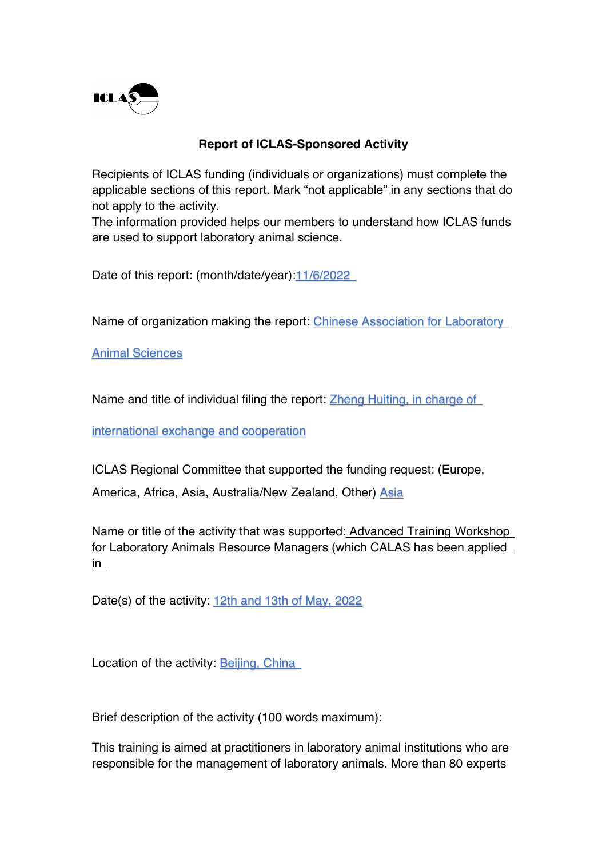

## **Report of ICLAS-Sponsored Activity**

Recipients of ICLAS funding (individuals or organizations) must complete the applicable sections of this report. Mark "not applicable" in any sections that do not apply to the activity.

The information provided helps our members to understand how ICLAS funds are used to support laboratory animal science.

Date of this report: (month/date/year): 11/6/2022

Name of organization making the report: Chinese Association for Laboratory

Animal Sciences

Name and title of individual filing the report: Zheng Huiting, in charge of

international exchange and cooperation

ICLAS Regional Committee that supported the funding request: (Europe,

America, Africa, Asia, Australia/New Zealand, Other) Asia

Name or title of the activity that was supported: Advanced Training Workshop for Laboratory Animals Resource Managers (which CALAS has been applied in

Date(s) of the activity: 12th and 13th of May, 2022

Location of the activity: Beijing, China

Brief description of the activity (100 words maximum):

This training is aimed at practitioners in laboratory animal institutions who are responsible for the management of laboratory animals. More than 80 experts